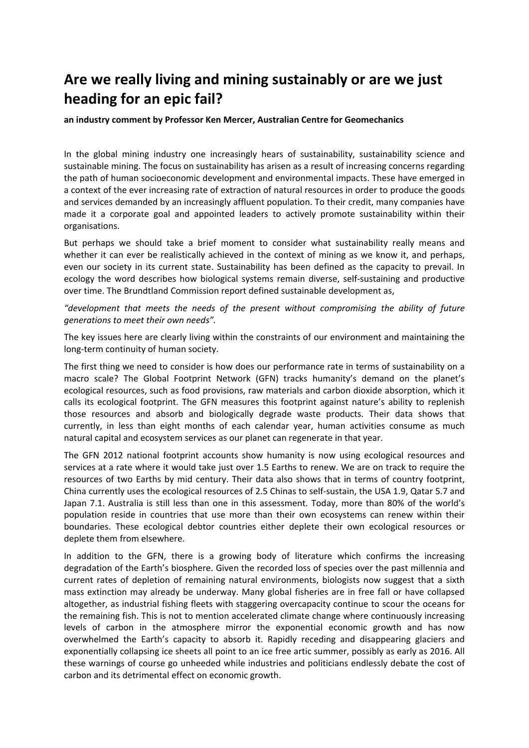## **Are we really living and mining sustainably or are we just heading for an epic fail?**

**an industry comment by Professor Ken Mercer, Australian Centre for Geomechanics**

In the global mining industry one increasingly hears of sustainability, sustainability science and sustainable mining. The focus on sustainability has arisen as a result of increasing concerns regarding the path of human socioeconomic development and environmental impacts. These have emerged in a context of the ever increasing rate of extraction of natural resources in order to produce the goods and services demanded by an increasingly affluent population. To their credit, many companies have made it a corporate goal and appointed leaders to actively promote sustainability within their organisations.

But perhaps we should take a brief moment to consider what sustainability really means and whether it can ever be realistically achieved in the context of mining as we know it, and perhaps, even our society in its current state. Sustainability has been defined as the capacity to prevail. In ecology the word describes how biological systems remain diverse, self‐sustaining and productive over time. The Brundtland Commission report defined sustainable development as,

*"development that meets the needs of the present without compromising the ability of future generations to meet their own needs".*

The key issues here are clearly living within the constraints of our environment and maintaining the long‐term continuity of human society.

The first thing we need to consider is how does our performance rate in terms of sustainability on a macro scale? The Global Footprint Network (GFN) tracks humanity's demand on the planet's ecological resources, such as food provisions, raw materials and carbon dioxide absorption, which it calls its ecological footprint. The GFN measures this footprint against nature's ability to replenish those resources and absorb and biologically degrade waste products. Their data shows that currently, in less than eight months of each calendar year, human activities consume as much natural capital and ecosystem services as our planet can regenerate in that year.

The GFN 2012 national footprint accounts show humanity is now using ecological resources and services at a rate where it would take just over 1.5 Earths to renew. We are on track to require the resources of two Earths by mid century. Their data also shows that in terms of country footprint, China currently uses the ecological resources of 2.5 Chinas to self‐sustain, the USA 1.9, Qatar 5.7 and Japan 7.1. Australia is still less than one in this assessment. Today, more than 80% of the world's population reside in countries that use more than their own ecosystems can renew within their boundaries. These ecological debtor countries either deplete their own ecological resources or deplete them from elsewhere.

In addition to the GFN, there is a growing body of literature which confirms the increasing degradation of the Earth's biosphere. Given the recorded loss of species over the past millennia and current rates of depletion of remaining natural environments, biologists now suggest that a sixth mass extinction may already be underway. Many global fisheries are in free fall or have collapsed altogether, as industrial fishing fleets with staggering overcapacity continue to scour the oceans for the remaining fish. This is not to mention accelerated climate change where continuously increasing levels of carbon in the atmosphere mirror the exponential economic growth and has now overwhelmed the Earth's capacity to absorb it. Rapidly receding and disappearing glaciers and exponentially collapsing ice sheets all point to an ice free artic summer, possibly as early as 2016. All these warnings of course go unheeded while industries and politicians endlessly debate the cost of carbon and its detrimental effect on economic growth.